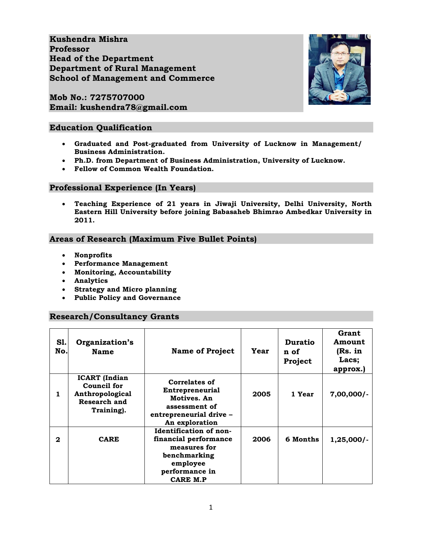**Kushendra Mishra Professor Head of the Department Department of Rural Management School of Management and Commerce**

**Mob No.: 7275707000 Email: kushendra78@gmail.com**

### **Education Qualification**

- **Graduated and Post-graduated from University of Lucknow in Management/ Business Administration.**
- **Ph.D. from Department of Business Administration, University of Lucknow.**
- **Fellow of Common Wealth Foundation.**

#### **Professional Experience (In Years)**

 **Teaching Experience of 21 years in Jiwaji University, Delhi University, North Eastern Hill University before joining Babasaheb Bhimrao Ambedkar University in 2011.**

#### **Areas of Research (Maximum Five Bullet Points)**

- **Nonprofits**
- **Performance Management**
- **Monitoring, Accountability**
- **Analytics**
- **Strategy and Micro planning**
- **Public Policy and Governance**

#### **Research/Consultancy Grants**

| S1.<br>No.   | Organization's<br><b>Name</b>                                                        | <b>Name of Project</b>                                                                                                    | Year | <b>Duratio</b><br>n of<br>Project | Grant<br>Amount<br>(Rs. in<br>Lacs;<br>approx.) |
|--------------|--------------------------------------------------------------------------------------|---------------------------------------------------------------------------------------------------------------------------|------|-----------------------------------|-------------------------------------------------|
| 1            | <b>ICART</b> (Indian<br>Council for<br>Anthropological<br>Research and<br>Training). | Correlates of<br><b>Entrepreneurial</b><br>Motives. An<br>assessment of<br>entrepreneurial drive -<br>An exploration      | 2005 | 1 Year                            | $7,00,000/-$                                    |
| $\mathbf{2}$ | <b>CARE</b>                                                                          | Identification of non-<br>financial performance<br>measures for<br>benchmarking<br>employee<br>performance in<br>CARE M.P | 2006 | 6 Months                          | $1,25,000/-$                                    |

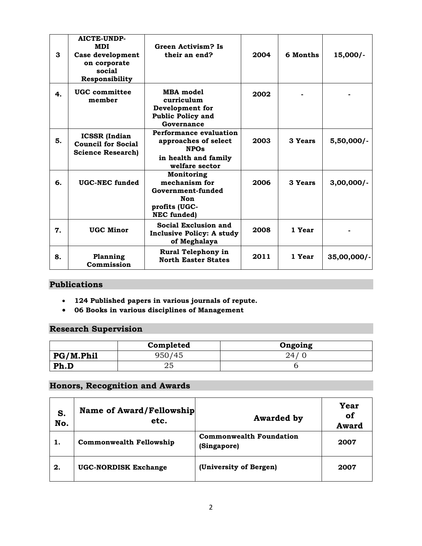| 3  | <b>AICTE-UNDP-</b><br><b>MDI</b><br>Case development<br>on corporate<br>social<br>Responsibility | <b>Green Activism? Is</b><br>their an end?                                                                     | 2004 | 6 Months | $15,000/-$     |
|----|--------------------------------------------------------------------------------------------------|----------------------------------------------------------------------------------------------------------------|------|----------|----------------|
| 4. | UGC committee<br>member                                                                          | <b>MBA</b> model<br>curriculum<br>Development for<br><b>Public Policy and</b><br>Governance                    | 2002 |          |                |
| 5. | <b>ICSSR</b> (Indian<br><b>Council for Social</b><br><b>Science Research)</b>                    | <b>Performance evaluation</b><br>approaches of select<br><b>NPOs</b><br>in health and family<br>welfare sector | 2003 | 3 Years  | $5,50,000/$ -  |
| 6. | <b>UGC-NEC funded</b>                                                                            | Monitoring<br>mechanism for<br>Government-funded<br>Non<br>profits (UGC-<br><b>NEC</b> funded)                 | 2006 | 3 Years  | $3,00,000/$ -  |
| 7. | <b>UGC Minor</b>                                                                                 | Social Exclusion and<br><b>Inclusive Policy: A study</b><br>of Meghalaya                                       | 2008 | 1 Year   |                |
| 8. | Planning<br>Commission                                                                           | Rural Telephony in<br><b>North Easter States</b>                                                               | 2011 | 1 Year   | $35,00,000/$ - |

## **Publications**

- **124 Published papers in various journals of repute.**
- **06 Books in various disciplines of Management**

## **Research Supervision**

|           | Completed | Ongoing |
|-----------|-----------|---------|
| PG/M.Phil | 950/45    | 24.     |
| Ph.D      | 25        |         |

## **Honors, Recognition and Awards**

| S.<br>No. | Name of Award/Fellowship<br>etc. | <b>Awarded by</b>                             | Year<br>of<br><b>Award</b> |
|-----------|----------------------------------|-----------------------------------------------|----------------------------|
|           | <b>Commonwealth Fellowship</b>   | <b>Commonwealth Foundation</b><br>(Singapore) | 2007                       |
| 2.        | <b>UGC-NORDISK Exchange</b>      | (University of Bergen)                        | 2007                       |